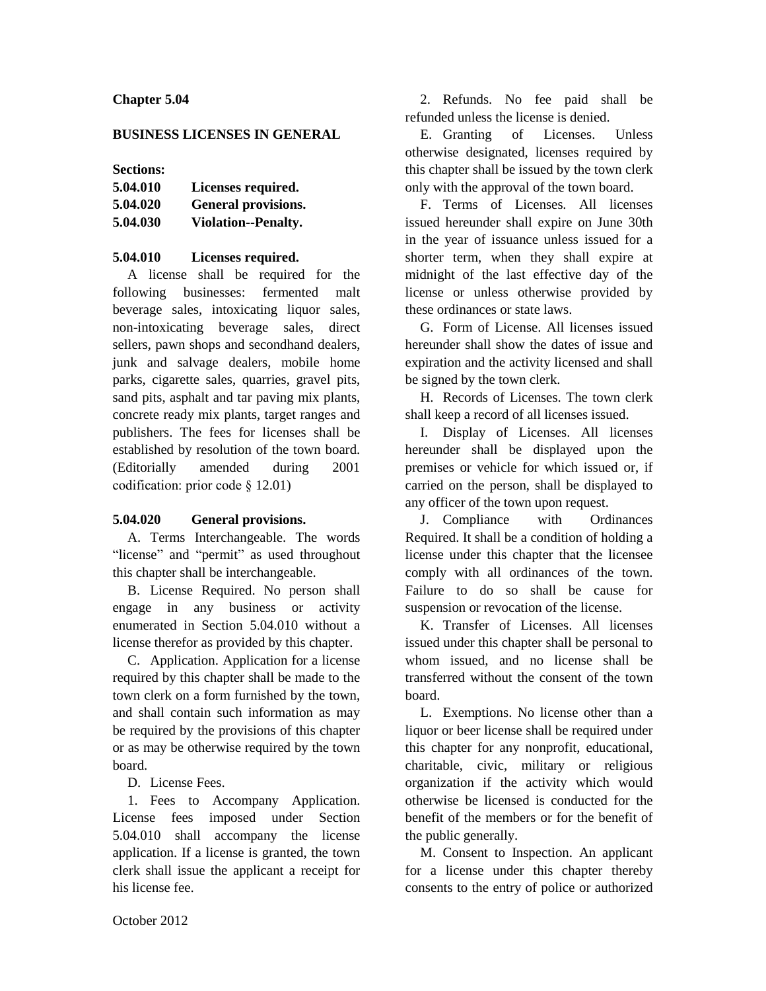## **Chapter 5.04**

#### **BUSINESS LICENSES IN GENERAL**

### **Sections:**

| 5.04.010 | Licenses required.         |
|----------|----------------------------|
| 5.04.020 | <b>General provisions.</b> |
| 5.04.030 | <b>Violation--Penalty.</b> |

### **5.04.010 Licenses required.**

A license shall be required for the following businesses: fermented malt beverage sales, intoxicating liquor sales, non-intoxicating beverage sales, direct sellers, pawn shops and secondhand dealers, junk and salvage dealers, mobile home parks, cigarette sales, quarries, gravel pits, sand pits, asphalt and tar paving mix plants, concrete ready mix plants, target ranges and publishers. The fees for licenses shall be established by resolution of the town board. (Editorially amended during 2001 codification: prior code § 12.01)

## **5.04.020 General provisions.**

A. Terms Interchangeable. The words "license" and "permit" as used throughout this chapter shall be interchangeable.

B. License Required. No person shall engage in any business or activity enumerated in Section 5.04.010 without a license therefor as provided by this chapter.

C. Application. Application for a license required by this chapter shall be made to the town clerk on a form furnished by the town, and shall contain such information as may be required by the provisions of this chapter or as may be otherwise required by the town board.

## D. License Fees.

1. Fees to Accompany Application. License fees imposed under Section 5.04.010 shall accompany the license application. If a license is granted, the town clerk shall issue the applicant a receipt for his license fee.

2. Refunds. No fee paid shall be refunded unless the license is denied.

E. Granting of Licenses. Unless otherwise designated, licenses required by this chapter shall be issued by the town clerk only with the approval of the town board.

F. Terms of Licenses. All licenses issued hereunder shall expire on June 30th in the year of issuance unless issued for a shorter term, when they shall expire at midnight of the last effective day of the license or unless otherwise provided by these ordinances or state laws.

G. Form of License. All licenses issued hereunder shall show the dates of issue and expiration and the activity licensed and shall be signed by the town clerk.

H. Records of Licenses. The town clerk shall keep a record of all licenses issued.

I. Display of Licenses. All licenses hereunder shall be displayed upon the premises or vehicle for which issued or, if carried on the person, shall be displayed to any officer of the town upon request.

J. Compliance with Ordinances Required. It shall be a condition of holding a license under this chapter that the licensee comply with all ordinances of the town. Failure to do so shall be cause for suspension or revocation of the license.

K. Transfer of Licenses. All licenses issued under this chapter shall be personal to whom issued, and no license shall be transferred without the consent of the town board.

L. Exemptions. No license other than a liquor or beer license shall be required under this chapter for any nonprofit, educational, charitable, civic, military or religious organization if the activity which would otherwise be licensed is conducted for the benefit of the members or for the benefit of the public generally.

M. Consent to Inspection. An applicant for a license under this chapter thereby consents to the entry of police or authorized